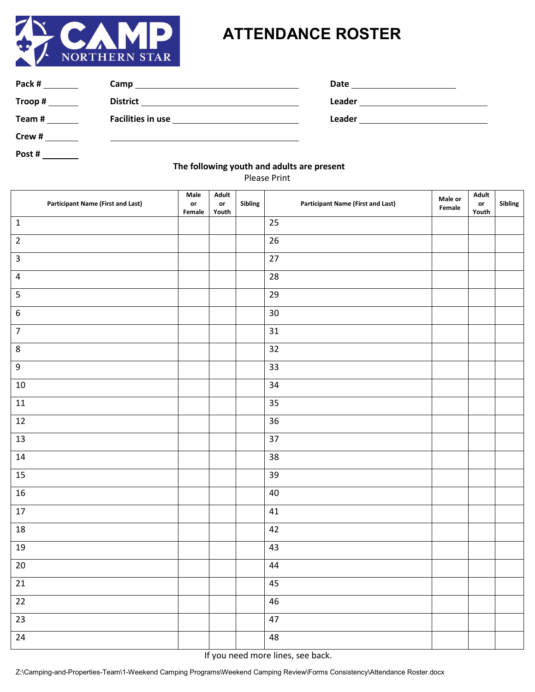

## **ATTENDANCE ROSTER**

| Pack # | Camp                     | Date   |
|--------|--------------------------|--------|
| Troop# | <b>District</b>          | Leader |
| Team#  | <b>Facilities in use</b> | Leader |
| Crew#  |                          |        |

**Post #** 

## **The following youth and adults are present**

Please Print

| <b>Participant Name (First and Last)</b> | Male<br>$\mathop{\mathsf{or}}$<br>Female | Adult<br>$\mathop{\mathsf{or}}$<br>Youth | Sibling | <b>Participant Name (First and Last)</b> | Male or<br>Female | Adult<br>$\mathop{\mathsf{or}}$<br>Youth | Sibling |
|------------------------------------------|------------------------------------------|------------------------------------------|---------|------------------------------------------|-------------------|------------------------------------------|---------|
| $\mathbf 1$                              |                                          |                                          |         | 25                                       |                   |                                          |         |
| $\sqrt{2}$                               |                                          |                                          |         | 26                                       |                   |                                          |         |
| $\overline{3}$                           |                                          |                                          |         | 27                                       |                   |                                          |         |
| $\sqrt{4}$                               |                                          |                                          |         | 28                                       |                   |                                          |         |
| $\overline{\mathbf{5}}$                  |                                          |                                          |         | 29                                       |                   |                                          |         |
| $\boldsymbol{6}$                         |                                          |                                          |         | 30                                       |                   |                                          |         |
| $\overline{7}$                           |                                          |                                          |         | 31                                       |                   |                                          |         |
| $\,8\,$                                  |                                          |                                          |         | 32                                       |                   |                                          |         |
| $\boldsymbol{9}$                         |                                          |                                          |         | 33                                       |                   |                                          |         |
| $10\,$                                   |                                          |                                          |         | 34                                       |                   |                                          |         |
| $11\,$                                   |                                          |                                          |         | 35                                       |                   |                                          |         |
| $12\,$                                   |                                          |                                          |         | 36                                       |                   |                                          |         |
| 13                                       |                                          |                                          |         | 37                                       |                   |                                          |         |
| 14                                       |                                          |                                          |         | 38                                       |                   |                                          |         |
| 15                                       |                                          |                                          |         | 39                                       |                   |                                          |         |
| $16\,$                                   |                                          |                                          |         | 40                                       |                   |                                          |         |
| $17\,$                                   |                                          |                                          |         | $41\,$                                   |                   |                                          |         |
| 18                                       |                                          |                                          |         | 42                                       |                   |                                          |         |
| $19\,$                                   |                                          |                                          |         | 43                                       |                   |                                          |         |
| $20\,$                                   |                                          |                                          |         | 44                                       |                   |                                          |         |
| 21                                       |                                          |                                          |         | 45                                       |                   |                                          |         |
| $\overline{22}$                          |                                          |                                          |         | $46\,$                                   |                   |                                          |         |
| $\overline{23}$                          |                                          |                                          |         | $47\,$                                   |                   |                                          |         |
| 24                                       |                                          |                                          |         | 48                                       |                   |                                          |         |

If you need more lines, see back.